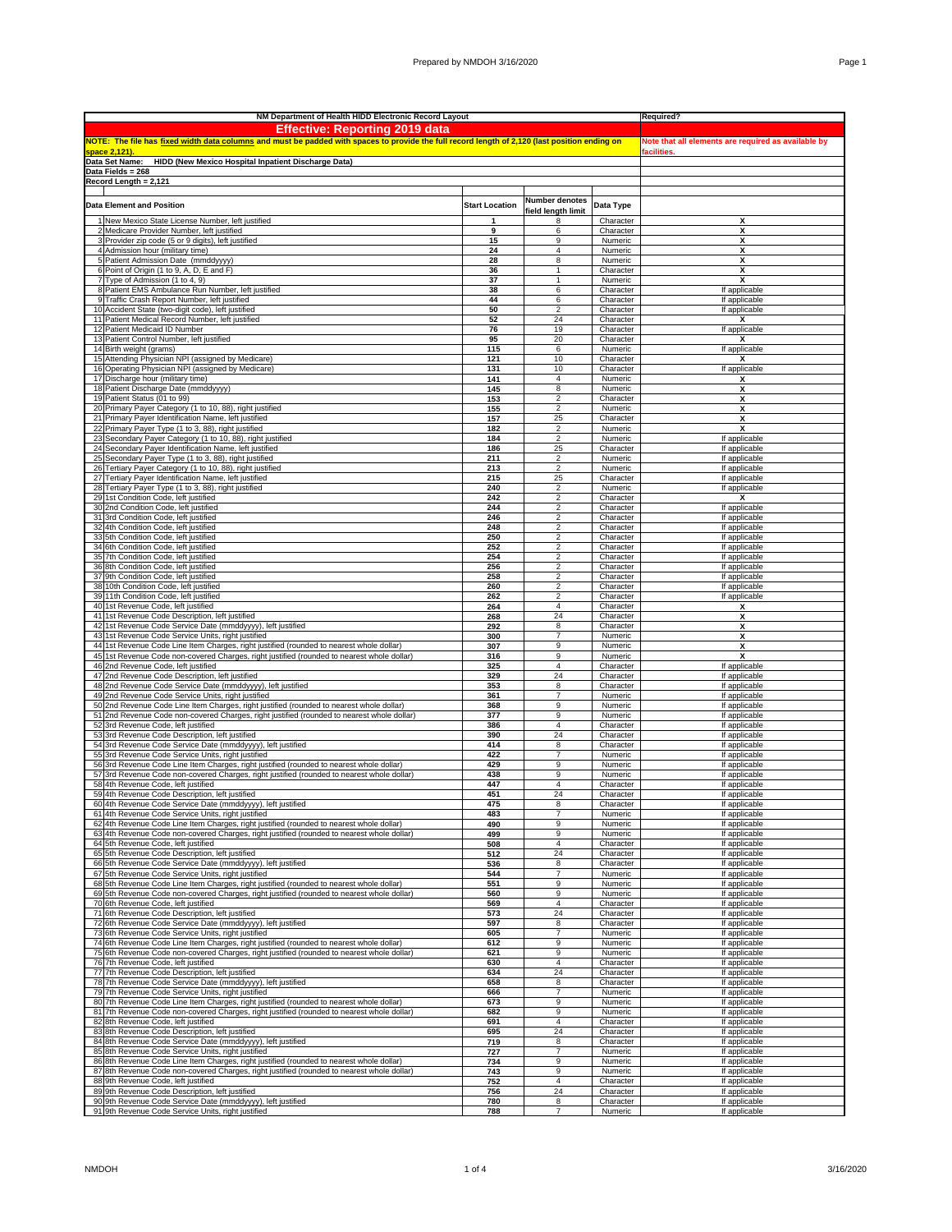|                | NM Department of Health HIDD Electronic Record Layout                                                                                                                                  | Required?             |                                                     |                        |                                |
|----------------|----------------------------------------------------------------------------------------------------------------------------------------------------------------------------------------|-----------------------|-----------------------------------------------------|------------------------|--------------------------------|
|                | <b>Effective: Reporting 2019 data</b>                                                                                                                                                  |                       |                                                     |                        |                                |
|                | NOTE: The file has fixed width data columns and must be padded with spaces to provide the full record length of 2,120 (last position ending on                                         |                       | Note that all elements are required as available by |                        |                                |
|                | space 2,121)                                                                                                                                                                           | facilities.           |                                                     |                        |                                |
|                | HIDD (New Mexico Hospital Inpatient Discharge Data)<br>Data Set Name:                                                                                                                  |                       |                                                     |                        |                                |
|                | Data Fields = 268                                                                                                                                                                      |                       |                                                     |                        |                                |
|                | Record Length = 2,121                                                                                                                                                                  |                       |                                                     |                        |                                |
|                |                                                                                                                                                                                        |                       |                                                     |                        |                                |
|                | <b>Data Element and Position</b>                                                                                                                                                       | <b>Start Location</b> | Number denotes                                      | Data Type              |                                |
|                |                                                                                                                                                                                        |                       | field length limit                                  |                        |                                |
|                | New Mexico State License Number, left justified                                                                                                                                        |                       | 8                                                   | Character              | х                              |
|                | 2 Medicare Provider Number, left justified                                                                                                                                             | 9<br>15               | 6<br>9                                              | Character              | x                              |
|                | 3 Provider zip code (5 or 9 digits), left justified<br>4 Admission hour (military time)                                                                                                | 24                    | 4                                                   | Numeric<br>Numeric     | x<br>х                         |
|                | 5 Patient Admission Date (mmddyyyy)                                                                                                                                                    | 28                    | 8                                                   | Numeric                | X                              |
|                | 6 Point of Origin (1 to 9, A, D, E and F)                                                                                                                                              | 36                    | $\mathbf{1}$                                        | Character              | x                              |
| $\overline{7}$ | Type of Admission (1 to 4, 9)                                                                                                                                                          | 37                    | $\mathbf{1}$                                        | Numeric                | X                              |
|                | Patient EMS Ambulance Run Number, left justified                                                                                                                                       | 38                    | 6                                                   | Character              | If applicable                  |
|                | Traffic Crash Report Number, left justified                                                                                                                                            | 44                    | 6                                                   | Character              | If applicable                  |
|                | 10 Accident State (two-digit code), left justified                                                                                                                                     | 50                    | $\overline{2}$                                      | Character              | If applicable                  |
|                | 11 Patient Medical Record Number, left justified                                                                                                                                       | 52                    | 24                                                  | Character              | х                              |
|                | 12 Patient Medicaid ID Number                                                                                                                                                          | 76                    | 19                                                  | Character              | If applicable                  |
|                | 13 Patient Control Number, left justified                                                                                                                                              | 95                    | 20                                                  | Character              | x                              |
|                | 14 Birth weight (grams)                                                                                                                                                                | 115                   | 6                                                   | Numeric                | If applicable<br>X             |
| 16             | 15 Attending Physician NPI (assigned by Medicare)<br>Operating Physician NPI (assigned by Medicare)                                                                                    | 121<br>131            | 10<br>10                                            | Character<br>Character | If applicable                  |
|                | 17 Discharge hour (military time)                                                                                                                                                      | 141                   | 4                                                   | Numeric                | x                              |
|                | 18 Patient Discharge Date (mmddyyyy)                                                                                                                                                   | 145                   | 8                                                   | Numeric                | Χ                              |
|                | 19 Patient Status (01 to 99)                                                                                                                                                           | 153                   | $\overline{c}$                                      | Character              | χ                              |
|                | 20 Primary Payer Category (1 to 10, 88), right justified                                                                                                                               | 155                   | 2                                                   | Numeric                | х                              |
|                | 21 Primary Payer Identification Name, left justified                                                                                                                                   | 157                   | 25                                                  | Character              | х                              |
|                | 22 Primary Payer Type (1 to 3, 88), right justified                                                                                                                                    | 182                   | 2                                                   | Numeric                | X                              |
| 23             | Secondary Payer Category (1 to 10, 88), right justified                                                                                                                                | 184                   | $\overline{2}$                                      | Numeric                | If applicable                  |
| 24             | Secondary Payer Identification Name, left justified                                                                                                                                    | 186                   | 25                                                  | Character              | If applicable                  |
| 25             | Secondary Payer Type (1 to 3, 88), right justified                                                                                                                                     | 211                   | $\overline{2}$                                      | Numeric                | If applicable                  |
| 26             | Tertiary Payer Category (1 to 10, 88), right justified                                                                                                                                 | 213<br>215            | $\overline{2}$                                      | Numeric                | If applicable                  |
| 27<br>28       | Tertiary Payer Identification Name, left justified<br>Tertiary Payer Type (1 to 3, 88), right justified                                                                                | 240                   | 25<br>2                                             | Character<br>Numeric   | If applicable<br>If applicable |
| 29             | 1st Condition Code, left justified                                                                                                                                                     | 242                   | 2                                                   | Character              | х                              |
|                | 30 2nd Condition Code, left justified                                                                                                                                                  | 244                   | $\overline{2}$                                      | Character              | If applicable                  |
| 31             | 3rd Condition Code, left justified                                                                                                                                                     | 246                   | $\overline{2}$                                      | Character              | If applicable                  |
| 32             | 4th Condition Code, left justified                                                                                                                                                     | 248                   | $\overline{\mathbf{2}}$                             | Character              | If applicable                  |
| 33             | 5th Condition Code, left justified                                                                                                                                                     | 250                   | $\overline{2}$                                      | Character              | If applicable                  |
| 34             | 6th Condition Code, left justified                                                                                                                                                     | 252                   | $\overline{2}$                                      | Character              | If applicable                  |
|                | 35 7th Condition Code, left justified                                                                                                                                                  | 254                   | $\overline{c}$                                      | Character              | If applicable                  |
|                | 36 8th Condition Code, left justified                                                                                                                                                  | 256                   | $\mathfrak{p}$                                      | Character              | If applicable                  |
|                | 37 9th Condition Code, left justified<br>38 10th Condition Code, left justified                                                                                                        | 258<br>260            | 2<br>$\mathfrak{p}$                                 | Character<br>Character | If applicable<br>If applicable |
|                | 39 11th Condition Code, left justified                                                                                                                                                 | 262                   | $\overline{2}$                                      | Character              | If applicable                  |
|                | 40 1st Revenue Code, left justified                                                                                                                                                    | 264                   | 4                                                   | Character              | X                              |
|                | 41 1st Revenue Code Description, left justified                                                                                                                                        | 268                   | 24                                                  | Character              | X                              |
| 42             | 1st Revenue Code Service Date (mmddyyyy), left justified                                                                                                                               | 292                   | 8                                                   | Character              | X                              |
| 43             | 1st Revenue Code Service Units, right justified                                                                                                                                        | 300                   | 7                                                   | Numeric                | X                              |
| 44             | 1st Revenue Code Line Item Charges, right justified (rounded to nearest whole dollar)                                                                                                  | 307                   | 9                                                   | Numeric                | Χ                              |
|                | 45 1st Revenue Code non-covered Charges, right justified (rounded to nearest whole dollar)                                                                                             | 316                   | 9<br>4                                              | Numeric                | X                              |
|                | 46 2nd Revenue Code, left justified<br>47 2nd Revenue Code Description, left justified                                                                                                 | 325<br>329            | 24                                                  | Character<br>Character | If applicable<br>If applicable |
|                | 48 2nd Revenue Code Service Date (mmddyyyy), left justified                                                                                                                            | 353                   | 8                                                   | Character              | If applicable                  |
| 49             | 2nd Revenue Code Service Units, right justified                                                                                                                                        | 361                   | 7                                                   | Numeric                | If applicable                  |
| 50             | 2nd Revenue Code Line Item Charges, right justified (rounded to nearest whole dollar)                                                                                                  | 368                   | 9                                                   | Numeric                | If applicable                  |
| 51             | 2nd Revenue Code non-covered Charges, right justified (rounded to nearest whole dollar)                                                                                                | 377                   | 9                                                   | Numeric                | If applicable                  |
| 52             | 3rd Revenue Code, left justified                                                                                                                                                       | 386                   | 4                                                   | Character              | If applicable                  |
|                | 53 3rd Revenue Code Description, left justified                                                                                                                                        | 390                   | 24                                                  | Character              | If applicable                  |
|                | 54 3rd Revenue Code Service Date (mmddyyyy), left justified                                                                                                                            | 414                   | 8                                                   | Character              | If applicable                  |
|                | 55 3rd Revenue Code Service Units, right justified<br>56 3rd Revenue Code Line Item Charges, right justified (rounded to nearest whole dollar)                                         | 422<br>429            | $\overline{7}$<br>9                                 | Numeric                | If applicable<br>If applicable |
| 57             | 3rd Revenue Code non-covered Charges, right justified (rounded to nearest whole dollar)                                                                                                | 438                   | 9                                                   | Numeric<br>Numeric     | If applicable                  |
| 58             | 4th Revenue Code, left justified                                                                                                                                                       | 447                   | 4                                                   | Character              | If applicable                  |
| 59             | 4th Revenue Code Description, left justified                                                                                                                                           | 451                   | 24                                                  | Character              | If applicable                  |
|                | 60 4th Revenue Code Service Date (mmddyyyy), left justified                                                                                                                            | 475                   | 8                                                   | Character              | If applicable                  |
|                | 61 4th Revenue Code Service Units, right justified                                                                                                                                     | 483                   |                                                     | Numeric                | <u>If applicable</u>           |
|                | 62 4th Revenue Code Line Item Charges, right justified (rounded to nearest whole dollar)                                                                                               | 490                   | 9                                                   | Numeric                | If applicable                  |
|                | 63 4th Revenue Code non-covered Charges, right justified (rounded to nearest whole dollar)                                                                                             | 499                   | 9                                                   | Numeric                | If applicable                  |
|                | 64 5th Revenue Code, left justified                                                                                                                                                    | 508                   | 4                                                   | Character              | If applicable                  |
|                | 65 5th Revenue Code Description, left justified<br>66 5th Revenue Code Service Date (mmddyyyy), left justified                                                                         | 512                   | 24<br>8                                             | Character<br>Character | If applicable<br>If applicable |
|                | 67 5th Revenue Code Service Units, right justified                                                                                                                                     | 536<br>544            | $\overline{7}$                                      | Numeric                | If applicable                  |
|                | 68 5th Revenue Code Line Item Charges, right justified (rounded to nearest whole dollar)                                                                                               | 551                   | 9                                                   | Numeric                | If applicable                  |
|                | 69 5th Revenue Code non-covered Charges, right justified (rounded to nearest whole dollar)                                                                                             | 560                   | 9                                                   | Numeric                | If applicable                  |
|                | 70 6th Revenue Code, left justified                                                                                                                                                    | 569                   | $\overline{4}$                                      | Character              | If applicable                  |
|                | 71 6th Revenue Code Description, left justified                                                                                                                                        | 573                   | 24                                                  | Character              | If applicable                  |
|                | 72 6th Revenue Code Service Date (mmddyyyy), left justified                                                                                                                            | 597                   | 8                                                   | Character              | If applicable                  |
|                | 73 6th Revenue Code Service Units, right justified                                                                                                                                     | 605                   | $\overline{7}$                                      | Numeric                | If applicable                  |
|                | 74 6th Revenue Code Line Item Charges, right justified (rounded to nearest whole dollar)<br>75 6th Revenue Code non-covered Charges, right justified (rounded to nearest whole dollar) | 612<br>621            | 9<br>9                                              | Numeric<br>Numeric     | If applicable<br>If applicable |
|                | 76 7th Revenue Code, left justified                                                                                                                                                    | 630                   | 4                                                   | Character              | If applicable                  |
|                | 77 7th Revenue Code Description, left justified                                                                                                                                        | 634                   | 24                                                  | Character              | If applicable                  |
|                | 78 7th Revenue Code Service Date (mmddyyyy), left justified                                                                                                                            | 658                   | 8                                                   | Character              | If applicable                  |
|                | 79 7th Revenue Code Service Units, right justified                                                                                                                                     | 666                   | 7                                                   | Numeric                | If applicable                  |
|                | 80 7th Revenue Code Line Item Charges, right justified (rounded to nearest whole dollar)                                                                                               | 673                   | 9                                                   | Numeric                | If applicable                  |
|                | 81 7th Revenue Code non-covered Charges, right justified (rounded to nearest whole dollar)                                                                                             | 682                   | 9                                                   | Numeric                | If applicable                  |
|                | 82 8th Revenue Code, left justified<br>83 8th Revenue Code Description, left justified                                                                                                 | 691<br>695            | 4<br>24                                             | Character<br>Character | If applicable<br>If applicable |
| 84             | 8th Revenue Code Service Date (mmddyyyy), left justified                                                                                                                               | 719                   | 8                                                   | Character              | If applicable                  |
|                | 85 8th Revenue Code Service Units, right justified                                                                                                                                     | 727                   | 7                                                   | Numeric                | If applicable                  |
|                | 86 8th Revenue Code Line Item Charges, right justified (rounded to nearest whole dollar)                                                                                               | 734                   | 9                                                   | Numeric                | If applicable                  |
|                | 87 8th Revenue Code non-covered Charges, right justified (rounded to nearest whole dollar)                                                                                             | 743                   | 9                                                   | Numeric                | If applicable                  |
|                | 88 9th Revenue Code, left justified                                                                                                                                                    | 752                   | 4                                                   | Character              | If applicable                  |
|                | 89 9th Revenue Code Description, left justified                                                                                                                                        | 756                   | 24                                                  | Character              | If applicable                  |
|                | 90 9th Revenue Code Service Date (mmddyyyy), left justified<br>91 9th Revenue Code Service Units, right justified                                                                      | 780<br>788            | 8<br>$\overline{7}$                                 | Character<br>Numeric   | If applicable<br>If applicable |
|                |                                                                                                                                                                                        |                       |                                                     |                        |                                |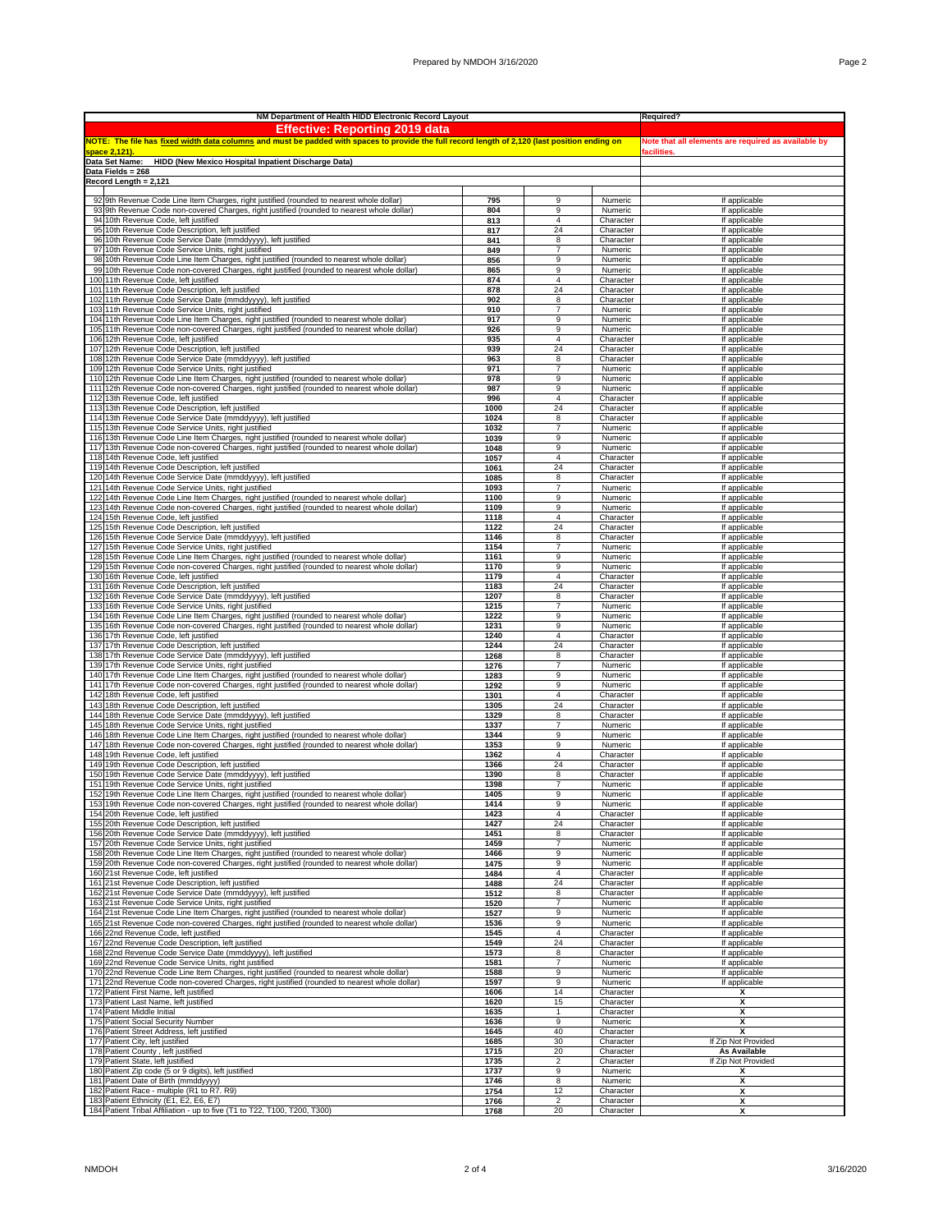|     | NM Department of Health HIDD Electronic Record Layout                                                                                                 | Required?                                           |                         |                        |                                            |
|-----|-------------------------------------------------------------------------------------------------------------------------------------------------------|-----------------------------------------------------|-------------------------|------------------------|--------------------------------------------|
|     | <b>Effective: Reporting 2019 data</b>                                                                                                                 |                                                     |                         |                        |                                            |
|     | NOTE: The file has <u>fixed width data columns</u> and must be padded with spaces to provide the full record length of 2,120 (last position ending on | Note that all elements are required as available by |                         |                        |                                            |
|     | space 2,121)                                                                                                                                          | facilities.                                         |                         |                        |                                            |
|     | Data Set Name:<br>HIDD (New Mexico Hospital Inpatient Discharge Data)<br>Data Fields = 268                                                            |                                                     |                         |                        |                                            |
|     | Record Length = 2,121                                                                                                                                 |                                                     |                         |                        |                                            |
|     |                                                                                                                                                       |                                                     |                         |                        |                                            |
|     | 92 9th Revenue Code Line Item Charges, right justified (rounded to nearest whole dollar)                                                              | 795                                                 | 9                       | Numeric                | If applicable                              |
|     | 93 9th Revenue Code non-covered Charges, right justified (rounded to nearest whole dollar)                                                            | 804                                                 | 9                       | Numeric                | If applicable                              |
|     | 94 10th Revenue Code, left justified                                                                                                                  | 813                                                 | $\overline{4}$          | Character              | If applicable                              |
|     | 95 10th Revenue Code Description, left justified<br>96 10th Revenue Code Service Date (mmddyyyy), left justified                                      | 817<br>841                                          | 24<br>8                 | Character<br>Character | If applicable<br>If applicable             |
|     | 97 10th Revenue Code Service Units, right justified                                                                                                   | 849                                                 | $\overline{7}$          | Numeric                | If applicable                              |
|     | 98 10th Revenue Code Line Item Charges, right justified (rounded to nearest whole dollar)                                                             | 856                                                 | 9                       | Numeric                | If applicable                              |
|     | 99 10th Revenue Code non-covered Charges, right justified (rounded to nearest whole dollar)                                                           | 865                                                 | 9                       | Numeric                | If applicable                              |
|     | 100 11th Revenue Code, left justified<br>101 11th Revenue Code Description, left justified                                                            | 874                                                 | $\overline{4}$          | Character              | If applicable                              |
|     | 102 11th Revenue Code Service Date (mmddyyyy), left justified                                                                                         | 878<br>902                                          | 24<br>8                 | Character<br>Character | If applicable<br>If applicable             |
| 103 | 11th Revenue Code Service Units, right justified                                                                                                      | 910                                                 | $\overline{7}$          | Numeric                | If applicable                              |
|     | 104 11th Revenue Code Line Item Charges, right justified (rounded to nearest whole dollar)                                                            | 917                                                 | 9                       | Numeric                | If applicable                              |
|     | 105 11th Revenue Code non-covered Charges, right justified (rounded to nearest whole dollar)                                                          | 926                                                 | 9                       | Numeric                | If applicable                              |
|     | 106 12th Revenue Code, left justified                                                                                                                 | 935                                                 | $\overline{4}$          | Character              | If applicable                              |
|     | 107 12th Revenue Code Description, left justified<br>108 12th Revenue Code Service Date (mmddyyyy), left justified                                    | 939<br>963                                          | 24<br>8                 | Character<br>Character | If applicable<br>If applicable             |
|     | 109 12th Revenue Code Service Units, right justified                                                                                                  | 971                                                 | $\overline{7}$          | Numeric                | If applicable                              |
|     | 110 12th Revenue Code Line Item Charges, right justified (rounded to nearest whole dollar)                                                            | 978                                                 | 9                       | Numeric                | If applicable                              |
| 111 | 12th Revenue Code non-covered Charges, right justified (rounded to nearest whole dollar)                                                              | 987                                                 | 9                       | Numeric                | If applicable                              |
|     | 112 13th Revenue Code, left justified                                                                                                                 | 996                                                 | 4                       | Character              | If applicable                              |
|     | 113 13th Revenue Code Description, left justified                                                                                                     | 1000                                                | 24                      | Character              | If applicable                              |
|     | 114 13th Revenue Code Service Date (mmddyyyy), left justified<br>115 13th Revenue Code Service Units, right justified                                 | 1024<br>1032                                        | 8<br>$\overline{7}$     | Character<br>Numeric   | If applicable<br>If applicable             |
|     | 116 13th Revenue Code Line Item Charges, right justified (rounded to nearest whole dollar)                                                            | 1039                                                | 9                       | Numeric                | If applicable                              |
|     | 117 13th Revenue Code non-covered Charges, right justified (rounded to nearest whole dollar)                                                          | 1048                                                | 9                       | Numeric                | If applicable                              |
|     | 118 14th Revenue Code, left justified                                                                                                                 | 1057                                                | 4                       | Character              | If applicable                              |
| 119 | 14th Revenue Code Description, left justified                                                                                                         | 1061                                                | 24                      | Character              | If applicable                              |
|     | 120 14th Revenue Code Service Date (mmddyyyy), left justified<br>121 14th Revenue Code Service Units, right justified                                 | 1085<br>1093                                        | 8<br>$\overline{7}$     | Character<br>Numeric   | If applicable<br>If applicable             |
|     | 122 14th Revenue Code Line Item Charges, right justified (rounded to nearest whole dollar)                                                            | 1100                                                | 9                       | Numeric                | If applicable                              |
|     | 123 14th Revenue Code non-covered Charges, right justified (rounded to nearest whole dollar)                                                          | 1109                                                | 9                       | Numeric                | If applicable                              |
|     | 124 15th Revenue Code, left justified                                                                                                                 | 1118                                                | $\overline{4}$          | Character              | If applicable                              |
|     | 125 15th Revenue Code Description, left justified                                                                                                     | 1122                                                | 24                      | Character              | If applicable                              |
|     | 126 15th Revenue Code Service Date (mmddyyyy), left justified<br>127 15th Revenue Code Service Units, right justified                                 | 1146<br>1154                                        | 8<br>$\overline{7}$     | Character<br>Numeric   | If applicable<br>If applicable             |
|     | 128 15th Revenue Code Line Item Charges, right justified (rounded to nearest whole dollar)                                                            | 1161                                                | 9                       | Numeric                | If applicable                              |
|     | 129 15th Revenue Code non-covered Charges, right justified (rounded to nearest whole dollar)                                                          | 1170                                                | 9                       | Numeric                | If applicable                              |
|     | 130 16th Revenue Code, left justified                                                                                                                 | 1179                                                | 4                       | Character              | If applicable                              |
|     | 131 16th Revenue Code Description, left justified                                                                                                     | 1183                                                | 24                      | Character              | If applicable                              |
|     | 132 16th Revenue Code Service Date (mmddyyyy), left justified<br>133 16th Revenue Code Service Units, right justified                                 | 1207<br>1215                                        | 8<br>$\overline{7}$     | Character<br>Numeric   | If applicable<br>If applicable             |
|     | 134 16th Revenue Code Line Item Charges, right justified (rounded to nearest whole dollar)                                                            | 1222                                                | 9                       | Numeric                | If applicable                              |
|     | 135 16th Revenue Code non-covered Charges, right justified (rounded to nearest whole dollar)                                                          | 1231                                                | 9                       | Numeric                | If applicable                              |
|     | 136 17th Revenue Code, left justified                                                                                                                 | 1240                                                | 4                       | Character              | If applicable                              |
|     | 137 17th Revenue Code Description, left justified                                                                                                     | 1244<br>1268                                        | 24<br>8                 | Character              | If applicable                              |
|     | 138 17th Revenue Code Service Date (mmddyyyy), left justified<br>139 17th Revenue Code Service Units, right justified                                 | 1276                                                | 7                       | Character<br>Numeric   | If applicable<br>If applicable             |
|     | 140 17th Revenue Code Line Item Charges, right justified (rounded to nearest whole dollar)                                                            | 1283                                                | 9                       | Numeric                | If applicable                              |
|     | 141 17th Revenue Code non-covered Charges, right justified (rounded to nearest whole dollar)                                                          | 1292                                                | 9                       | Numeric                | If applicable                              |
|     | 142 18th Revenue Code, left justified                                                                                                                 | 1301                                                | $\overline{4}$          | Character              | If applicable                              |
| 144 | 143 18th Revenue Code Description, left justified<br>18th Revenue Code Service Date (mmddyyyy), left justified                                        | 1305<br>1329                                        | 24<br>8                 | Character<br>Character | If applicable<br>If applicable             |
|     | 145 18th Revenue Code Service Units, right justified                                                                                                  | 1337                                                | $\overline{7}$          | Numeric                | If applicable                              |
|     | 146 18th Revenue Code Line Item Charges, right justified (rounded to nearest whole dollar)                                                            | 1344                                                | 9                       | Numeric                | If applicable                              |
|     | 147 18th Revenue Code non-covered Charges, right justified (rounded to nearest whole dollar)                                                          | 1353                                                | 9                       | Numeric                | If applicable                              |
|     | 148 19th Revenue Code, left justified                                                                                                                 | 1362                                                | 4                       | Character              | If applicable                              |
|     | 149 19th Revenue Code Description, left justified<br>150 19th Revenue Code Service Date (mmddyyyy), left justified                                    | 1366<br>1390                                        | 24<br>8                 | Character<br>Character | If applicable<br>If applicable             |
|     | 151 19th Revenue Code Service Units, right justified                                                                                                  | 1398                                                | $\overline{7}$          | Numeric                | If applicable                              |
|     | 152 19th Revenue Code Line Item Charges, right justified (rounded to nearest whole dollar)                                                            | 1405                                                | 9                       | Numeric                | If applicable                              |
|     | 153 19th Revenue Code non-covered Charges, right justified (rounded to nearest whole dollar)                                                          | 1414                                                | 9                       | Numeric                | If applicable                              |
|     | 154 20th Revenue Code, left justified<br>155 20th Revenue Code Description, left justified                                                            | 1423                                                | 24                      | Character              | If applicable<br>If applicable             |
|     | 156 20th Revenue Code Service Date (mmddyyyy), left justified                                                                                         | 1427<br>1451                                        | 8                       | Character<br>Character | If applicable                              |
|     | 157 20th Revenue Code Service Units, right justified                                                                                                  | 1459                                                | $\overline{7}$          | Numeric                | If applicable                              |
|     | 158 20th Revenue Code Line Item Charges, right justified (rounded to nearest whole dollar)                                                            | 1466                                                | 9                       | Numeric                | If applicable                              |
|     | 159 20th Revenue Code non-covered Charges, right justified (rounded to nearest whole dollar)                                                          | 1475                                                | 9                       | Numeric                | If applicable                              |
|     | 160 21st Revenue Code, left justified<br>161 21st Revenue Code Description, left justified                                                            | 1484<br>1488                                        | 4<br>24                 | Character<br>Character | If applicable<br>If applicable             |
|     | 162 21st Revenue Code Service Date (mmddyyyy), left justified                                                                                         | 1512                                                | 8                       | Character              | If applicable                              |
|     | 163 21st Revenue Code Service Units, right justified                                                                                                  | 1520                                                | 7                       | Numeric                | If applicable                              |
|     | 164 21st Revenue Code Line Item Charges, right justified (rounded to nearest whole dollar)                                                            | 1527                                                | 9                       | Numeric                | If applicable                              |
|     | 165 21st Revenue Code non-covered Charges, right justified (rounded to nearest whole dollar)                                                          | 1536                                                | 9<br>$\overline{4}$     | Numeric                | If applicable<br>If applicable             |
|     | 166 22nd Revenue Code, left justified<br>167 22nd Revenue Code Description, left justified                                                            | 1545<br>1549                                        | 24                      | Character<br>Character | If applicable                              |
|     | 168 22nd Revenue Code Service Date (mmddyyyy), left justified                                                                                         | 1573                                                | 8                       | Character              | If applicable                              |
|     | 169 22nd Revenue Code Service Units, right justified                                                                                                  | 1581                                                | $\overline{7}$          | Numeric                | If applicable                              |
|     | 170 22nd Revenue Code Line Item Charges, right justified (rounded to nearest whole dollar)                                                            | 1588                                                | 9                       | Numeric                | If applicable                              |
|     | 171 22nd Revenue Code non-covered Charges, right justified (rounded to nearest whole dollar)<br>172 Patient First Name, left justified                | 1597<br>1606                                        | 9<br>14                 | Numeric                | If applicable<br>х                         |
|     | 173 Patient Last Name, left justified                                                                                                                 | 1620                                                | 15                      | Character<br>Character | x                                          |
|     | 174 Patient Middle Initial                                                                                                                            | 1635                                                | $\mathbf{1}$            | Character              | X                                          |
|     | 175 Patient Social Security Number                                                                                                                    | 1636                                                | 9                       | Numeric                | x                                          |
|     | 176 Patient Street Address, left justified                                                                                                            | 1645                                                | 40                      | Character              | x                                          |
|     | 177 Patient City, left justified<br>178 Patient County, left justified                                                                                | 1685<br>1715                                        | 30<br>20                | Character<br>Character | If Zip Not Provided<br><b>As Available</b> |
|     | 179 Patient State, left justified                                                                                                                     | 1735                                                | $\overline{\mathbf{c}}$ | Character              | If Zip Not Provided                        |
|     | 180 Patient Zip code (5 or 9 digits), left justified                                                                                                  | 1737                                                | 9                       | Numeric                | х                                          |
|     | 181 Patient Date of Birth (mmddyyyy)                                                                                                                  | 1746                                                | 8                       | Numeric                | х                                          |
|     | 182 Patient Race - multiple (R1 to R7. R9)<br>183 Patient Ethnicity (E1, E2, E6, E7)                                                                  | 1754<br>1766                                        | 12<br>$\overline{2}$    | Character<br>Character | X<br>x                                     |
|     | 184 Patient Tribal Affiliation - up to five (T1 to T22, T100, T200, T300)                                                                             | 1768                                                | 20                      | Character              | X                                          |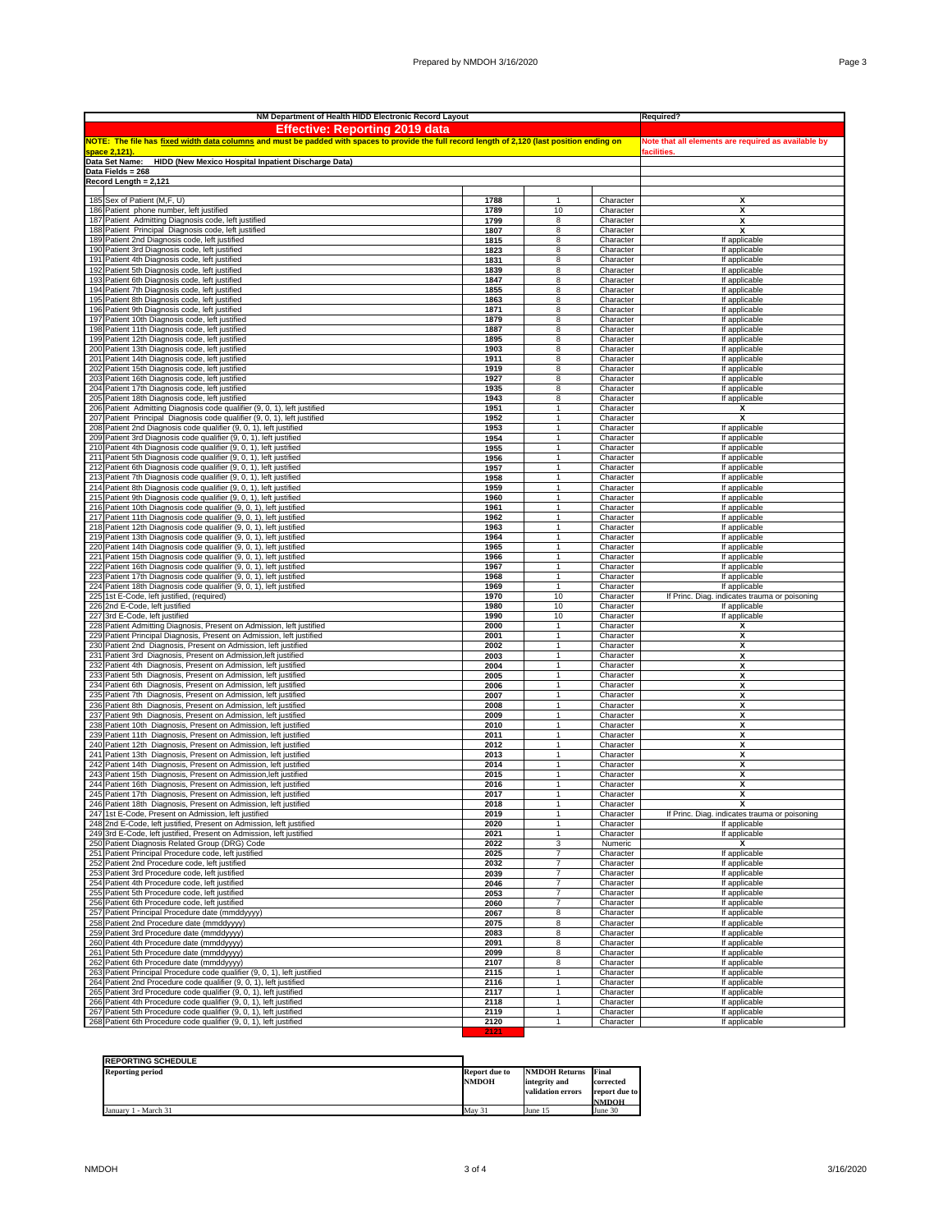|     | NM Department of Health HIDD Electronic Record Layout                                                                                                 | Required?                                           |                                  |                        |                                                                |
|-----|-------------------------------------------------------------------------------------------------------------------------------------------------------|-----------------------------------------------------|----------------------------------|------------------------|----------------------------------------------------------------|
|     | <b>Effective: Reporting 2019 data</b>                                                                                                                 |                                                     |                                  |                        |                                                                |
|     | NOTE: The file has <u>fixed width data columns</u> and must be padded with spaces to provide the full record length of 2,120 (last position ending on | Note that all elements are required as available by |                                  |                        |                                                                |
|     | <u>space 2,121]</u>                                                                                                                                   | acilities                                           |                                  |                        |                                                                |
|     | Data Set Name:<br>HIDD (New Mexico Hospital Inpatient Discharge Data)                                                                                 |                                                     |                                  |                        |                                                                |
|     | Data Fields = 268                                                                                                                                     |                                                     |                                  |                        |                                                                |
|     | Record Length = 2,121                                                                                                                                 |                                                     |                                  |                        |                                                                |
|     |                                                                                                                                                       |                                                     |                                  |                        |                                                                |
|     | 185 Sex of Patient (M,F, U)<br>186 Patient phone number, left justified                                                                               | 1788                                                | $\mathbf{1}$                     | Character              | X<br>X                                                         |
|     | 187 Patient Admitting Diagnosis code, left justified                                                                                                  | 1789<br>1799                                        | 10<br>8                          | Character              | X                                                              |
|     | 188 Patient Principal Diagnosis code, left justified                                                                                                  | 1807                                                | 8                                | Character<br>Character | X                                                              |
|     | 189 Patient 2nd Diagnosis code, left justified                                                                                                        | 1815                                                | 8                                | Character              | If applicable                                                  |
|     | 190 Patient 3rd Diagnosis code, left justified                                                                                                        | 1823                                                | 8                                | Character              | If applicable                                                  |
|     | 191 Patient 4th Diagnosis code, left justified                                                                                                        | 1831                                                | 8                                | Character              | If applicable                                                  |
|     | 192 Patient 5th Diagnosis code, left justified                                                                                                        | 1839                                                | 8                                | Character              | If applicable                                                  |
|     | 193 Patient 6th Diagnosis code, left justified                                                                                                        | 1847                                                | 8                                | Character              | If applicable                                                  |
|     | 194 Patient 7th Diagnosis code, left justified                                                                                                        | 1855                                                | 8                                | Character              | If applicable                                                  |
|     | 195 Patient 8th Diagnosis code, left justified                                                                                                        | 1863                                                | 8                                | Character              | If applicable                                                  |
| 196 | Patient 9th Diagnosis code, left justified                                                                                                            | 1871                                                | 8                                | Character              | If applicable                                                  |
|     | 197 Patient 10th Diagnosis code, left justified                                                                                                       | 1879                                                | 8                                | Character              | If applicable                                                  |
|     | 198 Patient 11th Diagnosis code, left justified                                                                                                       | 1887                                                | 8                                | Character              | If applicable                                                  |
|     | 199 Patient 12th Diagnosis code, left justified                                                                                                       | 1895                                                | 8                                | Character              | If applicable                                                  |
|     | 200 Patient 13th Diagnosis code, left justified                                                                                                       | 1903                                                | 8                                | Character              | If applicable                                                  |
|     | 201 Patient 14th Diagnosis code, left justified                                                                                                       | 1911                                                | 8                                | Character              | If applicable                                                  |
| 202 | Patient 15th Diagnosis code, left justified<br>203 Patient 16th Diagnosis code, left justified                                                        | 1919<br>1927                                        | 8                                | Character              | If applicable                                                  |
| 204 | Patient 17th Diagnosis code, left justified                                                                                                           | 1935                                                | 8<br>8                           | Character<br>Character | If applicable<br>If applicable                                 |
|     | 205 Patient 18th Diagnosis code, left justified                                                                                                       | 1943                                                | 8                                | Character              | If applicable                                                  |
|     | 206 Patient Admitting Diagnosis code qualifier (9, 0, 1), left justified                                                                              | 1951                                                | $\mathbf{1}$                     | Character              | х                                                              |
|     | 207 Patient Principal Diagnosis code qualifier (9, 0, 1), left justified                                                                              | 1952                                                | 1                                | Character              | х                                                              |
|     | 208 Patient 2nd Diagnosis code qualifier (9, 0, 1), left justified                                                                                    | 1953                                                | $\mathbf{1}$                     | Character              | If applicable                                                  |
|     | 209 Patient 3rd Diagnosis code qualifier (9, 0, 1), left justified                                                                                    | 1954                                                | $\mathbf{1}$                     | Character              | If applicable                                                  |
|     | 210 Patient 4th Diagnosis code qualifier (9, 0, 1), left justified                                                                                    | 1955                                                | $\mathbf{1}$                     | Character              | If applicable                                                  |
|     | 211 Patient 5th Diagnosis code qualifier (9, 0, 1), left justified                                                                                    | 1956                                                | 1                                | Character              | If applicable                                                  |
| 212 | Patient 6th Diagnosis code qualifier (9, 0, 1), left justified                                                                                        | 1957                                                | 1                                | Character              | If applicable                                                  |
| 213 | Patient 7th Diagnosis code qualifier (9, 0, 1), left justified                                                                                        | 1958                                                | 1<br>$\mathbf{1}$                | Character              | If applicable                                                  |
|     | 214 Patient 8th Diagnosis code qualifier (9, 0, 1), left justified<br>215 Patient 9th Diagnosis code qualifier (9, 0, 1), left justified              | 1959<br>1960                                        | 1                                | Character<br>Character | If applicable<br>If applicable                                 |
|     | 216 Patient 10th Diagnosis code qualifier (9, 0, 1), left justified                                                                                   | 1961                                                | $\mathbf{1}$                     | Character              | If applicable                                                  |
|     | 217 Patient 11th Diagnosis code qualifier (9, 0, 1), left justified                                                                                   | 1962                                                | $\mathbf{1}$                     | Character              | If applicable                                                  |
|     | 218 Patient 12th Diagnosis code qualifier (9, 0, 1), left justified                                                                                   | 1963                                                | $\mathbf{1}$                     | Character              | If applicable                                                  |
|     | 219 Patient 13th Diagnosis code qualifier (9, 0, 1), left justified                                                                                   | 1964                                                | $\mathbf{1}$                     | Character              | If applicable                                                  |
| 220 | Patient 14th Diagnosis code qualifier (9, 0, 1), left justified                                                                                       | 1965                                                |                                  | Character              | If applicable                                                  |
| 221 | Patient 15th Diagnosis code qualifier (9, 0, 1), left justified                                                                                       | 1966                                                | $\mathbf{1}$                     | Character              | If applicable                                                  |
| 222 | Patient 16th Diagnosis code qualifier (9, 0, 1), left justified                                                                                       | 1967                                                | 1                                | Character              | If applicable                                                  |
|     | 223 Patient 17th Diagnosis code qualifier (9, 0, 1), left justified                                                                                   | 1968                                                | $\mathbf{1}$                     | Character              | If applicable                                                  |
| 225 | 224 Patient 18th Diagnosis code qualifier (9, 0, 1), left justified<br>1st E-Code, left justified, (required)                                         | 1969<br>1970                                        | 1<br>10                          | Character<br>Character | If applicable<br>If Princ. Diag. indicates trauma or poisoning |
|     | 226 2nd E-Code, left justified                                                                                                                        | 1980                                                | 10                               | Character              | If applicable                                                  |
|     | 227 3rd E-Code, left justified                                                                                                                        | 1990                                                | 10                               | Character              | If applicable                                                  |
|     | 228 Patient Admitting Diagnosis, Present on Admission, left justified                                                                                 | 2000                                                | $\mathbf{1}$                     | Character              | Х                                                              |
| 229 | Patient Principal Diagnosis, Present on Admission, left justified                                                                                     | 2001                                                | 1                                | Character              | Х                                                              |
|     | 230 Patient 2nd Diagnosis, Present on Admission, left justified                                                                                       | 2002                                                | $\mathbf{1}$                     | Character              | X                                                              |
|     | 231 Patient 3rd Diagnosis, Present on Admission, left justified                                                                                       | 2003                                                | 1                                | Character              | X                                                              |
|     | 232 Patient 4th Diagnosis, Present on Admission, left justified                                                                                       | 2004                                                | 1                                | Character              | х                                                              |
|     | 233 Patient 5th Diagnosis, Present on Admission, left justified                                                                                       | 2005                                                | $\mathbf{1}$<br>$\mathbf{1}$     | Character              | X                                                              |
|     | 234 Patient 6th Diagnosis, Present on Admission, left justified<br>235 Patient 7th Diagnosis, Present on Admission, left justified                    | 2006<br>2007                                        | $\mathbf{1}$                     | Character<br>Character | X<br>X                                                         |
| 236 | Patient 8th Diagnosis, Present on Admission, left justified                                                                                           | 2008                                                |                                  | Character              | X                                                              |
| 237 | Patient 9th Diagnosis, Present on Admission, left justified                                                                                           | 2009                                                | 1                                | Character              | х                                                              |
|     | 238 Patient 10th Diagnosis, Present on Admission, left justified                                                                                      | 2010                                                | 1                                | Character              | X                                                              |
|     | 239 Patient 11th Diagnosis, Present on Admission, left justified                                                                                      | 2011                                                | 1                                | Character              | х                                                              |
|     | 240 Patient 12th Diagnosis, Present on Admission, left justified                                                                                      | 2012                                                | 1                                | Character              | х                                                              |
|     | 241 Patient 13th Diagnosis, Present on Admission, left justified                                                                                      | 2013                                                | $\mathbf{1}$                     | Character              | х                                                              |
|     | 242 Patient 14th Diagnosis, Present on Admission, left justified                                                                                      | 2014                                                | 1                                | Character              | X                                                              |
|     | 243 Patient 15th Diagnosis, Present on Admission, left justified                                                                                      | 2015                                                | $\mathbf{1}$<br>$\mathbf{1}$     | Character              | X                                                              |
| 245 | 244 Patient 16th Diagnosis, Present on Admission, left justified<br>Patient 17th Diagnosis, Present on Admission, left justified                      | 2016<br>2017                                        | 1                                | Character<br>Character | X<br>X                                                         |
|     | 246 Patient 18th Diagnosis, Present on Admission, left justified                                                                                      | 2018                                                | 1                                | Character              | X                                                              |
|     | 247 1st E-Code, Present on Admission, left justified                                                                                                  | 2019                                                |                                  | Character              | If Princ. Diag. indicates trauma or poisoning                  |
|     | 248 2nd E-Code, left justified, Present on Admission, left justified                                                                                  | 2020                                                | 1                                | Character              | If applicable                                                  |
|     | 249 3rd E-Code, left justified, Present on Admission, left justified                                                                                  | 2021                                                | 1                                | Character              | If applicable                                                  |
|     | 250 Patient Diagnosis Related Group (DRG) Code                                                                                                        | 2022                                                | 3                                | Numeric                | x                                                              |
|     | 251 Patient Principal Procedure code, left justified                                                                                                  | 2025                                                | $\overline{7}$                   | Character              | If applicable                                                  |
|     | 252 Patient 2nd Procedure code, left justified                                                                                                        | 2032                                                | 7                                | Character              | If applicable                                                  |
|     | 253 Patient 3rd Procedure code, left justified<br>254 Patient 4th Procedure code, left justified                                                      | 2039<br>2046                                        | $\overline{7}$<br>$\overline{7}$ | Character<br>Character | If applicable<br>If applicable                                 |
|     | 255 Patient 5th Procedure code, left justified                                                                                                        | 2053                                                | $\overline{7}$                   | Character              | If applicable                                                  |
|     | 256 Patient 6th Procedure code, left justified                                                                                                        | 2060                                                | $\overline{7}$                   | Character              | If applicable                                                  |
|     | 257 Patient Principal Procedure date (mmddyyyy)                                                                                                       | 2067                                                | 8                                | Character              | If applicable                                                  |
|     | 258 Patient 2nd Procedure date (mmddyyyy)                                                                                                             | 2075                                                | 8                                | Character              | If applicable                                                  |
|     | 259 Patient 3rd Procedure date (mmddyyyy)                                                                                                             | 2083                                                | 8                                | Character              | If applicable                                                  |
|     | 260 Patient 4th Procedure date (mmddyyyy)                                                                                                             | 2091                                                | 8                                | Character              | If applicable                                                  |
|     | 261 Patient 5th Procedure date (mmddyyyy)                                                                                                             | 2099                                                | 8                                | Character              | If applicable                                                  |
|     | 262 Patient 6th Procedure date (mmddyyyy)                                                                                                             | 2107                                                | 8                                | Character              | If applicable                                                  |
|     | 263 Patient Principal Procedure code qualifier (9, 0, 1), left justified                                                                              | 2115                                                | 1                                | Character              | If applicable                                                  |
|     | 264 Patient 2nd Procedure code qualifier (9, 0, 1), left justified<br>265 Patient 3rd Procedure code qualifier (9, 0, 1), left justified              | 2116<br>2117                                        | 1<br>1                           | Character              | If applicable                                                  |
|     | 266 Patient 4th Procedure code qualifier (9, 0, 1), left justified                                                                                    | 2118                                                | $\mathbf{1}$                     | Character<br>Character | If applicable<br>If applicable                                 |
|     | 267 Patient 5th Procedure code qualifier (9, 0, 1), left justified                                                                                    | 2119                                                | $\mathbf{1}$                     | Character              | If applicable                                                  |
|     | 268 Patient 6th Procedure code qualifier (9, 0, 1), left justified                                                                                    | 2120                                                | 1                                | Character              | If applicable                                                  |

| <b>REPORTING SCHEDULE</b> |               |                      |               |
|---------------------------|---------------|----------------------|---------------|
| <b>Reporting period</b>   | Report due to | <b>NMDOH Returns</b> | Final         |
|                           | <b>NMDOH</b>  | integrity and        | corrected     |
|                           |               | validation errors    | report due to |
|                           |               |                      | <b>NMDOH</b>  |
| - March 31<br>January 1   | May 31        | June 15              | June 30       |

**2121**